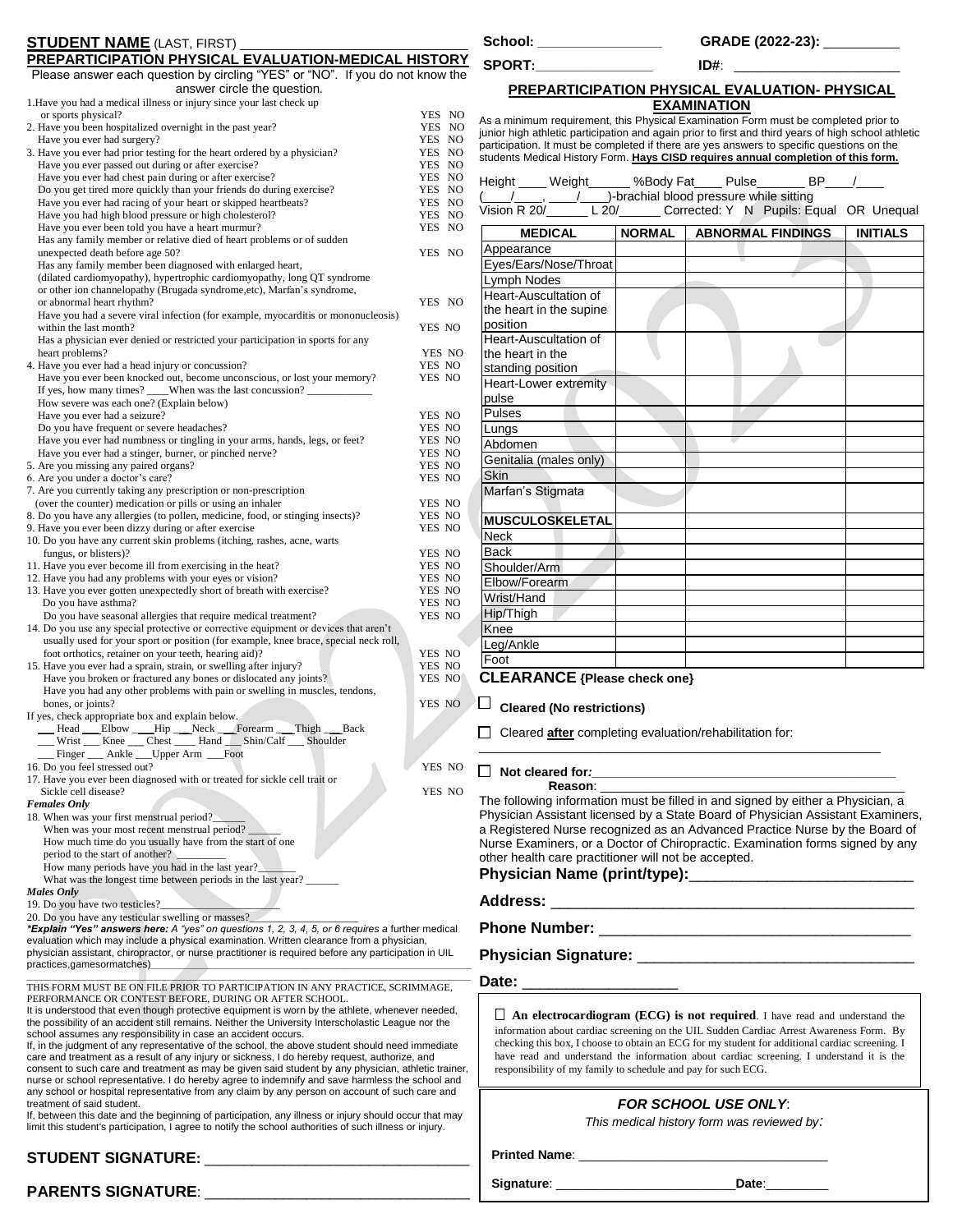| PREPARTICIPATION PHYSICAL EVALUATION-MEDICAL HISTORY<br>Please answer each question by circling "YES" or "NO". If you do not know the                                                                                                                              |                                                               | SPORT:                                                                                   |               | ID#:                                                                                                                                                                           |                 |
|--------------------------------------------------------------------------------------------------------------------------------------------------------------------------------------------------------------------------------------------------------------------|---------------------------------------------------------------|------------------------------------------------------------------------------------------|---------------|--------------------------------------------------------------------------------------------------------------------------------------------------------------------------------|-----------------|
| answer circle the question.                                                                                                                                                                                                                                        |                                                               |                                                                                          |               | PREPARTICIPATION PHYSICAL EVALUATION- PHYSICAL                                                                                                                                 |                 |
| 1. Have you had a medical illness or injury since your last check up                                                                                                                                                                                               |                                                               |                                                                                          |               | <b>EXAMINATION</b>                                                                                                                                                             |                 |
| or sports physical?<br>2. Have you been hospitalized overnight in the past year?                                                                                                                                                                                   | YES NO<br>YES NO                                              |                                                                                          |               | As a minimum requirement, this Physical Examination Form must be completed prior to                                                                                            |                 |
| Have you ever had surgery?                                                                                                                                                                                                                                         | YES NO                                                        |                                                                                          |               | junior high athletic participation and again prior to first and third years of high school athletic                                                                            |                 |
| 3. Have you ever had prior testing for the heart ordered by a physician?                                                                                                                                                                                           | YES NO                                                        |                                                                                          |               | participation. It must be completed if there are yes answers to specific questions on the<br>students Medical History Form. Hays CISD requires annual completion of this form. |                 |
| Have you ever passed out during or after exercise?                                                                                                                                                                                                                 | YES NO                                                        |                                                                                          |               |                                                                                                                                                                                |                 |
| Have you ever had chest pain during or after exercise?<br>Do you get tired more quickly than your friends do during exercise?                                                                                                                                      | YES NO<br>YES NO                                              |                                                                                          |               | Height ____ Weight ______ %Body Fat ____ Pulse _______ BP___ /                                                                                                                 |                 |
| Have you ever had racing of your heart or skipped heartbeats?                                                                                                                                                                                                      | YES NO                                                        |                                                                                          |               | / ____, ____/ _________)-brachial blood pressure while sitting                                                                                                                 |                 |
| Have you had high blood pressure or high cholesterol?                                                                                                                                                                                                              | YES NO                                                        |                                                                                          |               | Vision R 20/ L 20/ Corrected: Y N Pupils: Equal OR Unequal                                                                                                                     |                 |
| Have you ever been told you have a heart murmur?                                                                                                                                                                                                                   | YES NO                                                        | <b>MEDICAL</b>                                                                           | <b>NORMAL</b> | <b>ABNORMAL FINDINGS</b>                                                                                                                                                       | <b>INITIALS</b> |
| Has any family member or relative died of heart problems or of sudden<br>unexpected death before age 50?                                                                                                                                                           | YES NO                                                        | Appearance                                                                               |               |                                                                                                                                                                                |                 |
| Has any family member been diagnosed with enlarged heart,                                                                                                                                                                                                          |                                                               | Eyes/Ears/Nose/Throat                                                                    |               |                                                                                                                                                                                |                 |
| (dilated cardiomyopathy), hypertrophic cardiomyopathy, long QT syndrome                                                                                                                                                                                            |                                                               | Lymph Nodes                                                                              |               |                                                                                                                                                                                |                 |
| or other ion channelopathy (Brugada syndrome, etc), Marfan's syndrome,                                                                                                                                                                                             |                                                               | Heart-Auscultation of                                                                    |               |                                                                                                                                                                                |                 |
| or abnormal heart rhythm?<br>Have you had a severe viral infection (for example, myocarditis or mononucleosis)                                                                                                                                                     | YES NO                                                        | the heart in the supine                                                                  |               |                                                                                                                                                                                |                 |
| within the last month?                                                                                                                                                                                                                                             | YES NO                                                        | position                                                                                 |               |                                                                                                                                                                                |                 |
| Has a physician ever denied or restricted your participation in sports for any                                                                                                                                                                                     |                                                               | Heart-Auscultation of                                                                    |               |                                                                                                                                                                                |                 |
| heart problems?                                                                                                                                                                                                                                                    | YES NO                                                        | the heart in the                                                                         |               |                                                                                                                                                                                |                 |
| 4. Have you ever had a head injury or concussion?                                                                                                                                                                                                                  | YES NO                                                        | standing position                                                                        |               |                                                                                                                                                                                |                 |
| Have you ever been knocked out, become unconscious, or lost your memory?                                                                                                                                                                                           | YES NO                                                        | <b>Heart-Lower extremity</b>                                                             |               |                                                                                                                                                                                |                 |
| How severe was each one? (Explain below)                                                                                                                                                                                                                           |                                                               | pulse                                                                                    |               |                                                                                                                                                                                |                 |
| Have you ever had a seizure?                                                                                                                                                                                                                                       | YES NO                                                        | Pulses                                                                                   |               |                                                                                                                                                                                |                 |
| Do you have frequent or severe headaches?                                                                                                                                                                                                                          | YES NO                                                        | Lungs                                                                                    |               |                                                                                                                                                                                |                 |
| Have you ever had numbness or tingling in your arms, hands, legs, or feet?<br>Have you ever had a stinger, burner, or pinched nerve?                                                                                                                               | YES NO<br>YES NO                                              | Abdomen                                                                                  |               |                                                                                                                                                                                |                 |
| 5. Are you missing any paired organs?                                                                                                                                                                                                                              | YES NO                                                        | Genitalia (males only)                                                                   |               |                                                                                                                                                                                |                 |
| 6. Are you under a doctor's care?                                                                                                                                                                                                                                  | YES NO                                                        | Skin                                                                                     |               |                                                                                                                                                                                |                 |
| 7. Are you currently taking any prescription or non-prescription                                                                                                                                                                                                   |                                                               | Marfan's Stigmata                                                                        |               |                                                                                                                                                                                |                 |
| (over the counter) medication or pills or using an inhaler                                                                                                                                                                                                         | YES NO                                                        |                                                                                          |               |                                                                                                                                                                                |                 |
| 8. Do you have any allergies (to pollen, medicine, food, or stinging insects)?<br>9. Have you ever been dizzy during or after exercise                                                                                                                             | YES NO<br>YES NO                                              | MUSCULOSKELETAL                                                                          |               |                                                                                                                                                                                |                 |
| 10. Do you have any current skin problems (itching, rashes, acne, warts                                                                                                                                                                                            |                                                               | <b>Neck</b>                                                                              |               |                                                                                                                                                                                |                 |
| fungus, or blisters)?                                                                                                                                                                                                                                              | YES NO                                                        | <b>Back</b>                                                                              |               |                                                                                                                                                                                |                 |
| 11. Have you ever become ill from exercising in the heat?                                                                                                                                                                                                          | YES NO                                                        | Shoulder/Arm                                                                             |               |                                                                                                                                                                                |                 |
| 12. Have you had any problems with your eyes or vision?                                                                                                                                                                                                            | YES NO                                                        | Elbow/Forearm                                                                            |               |                                                                                                                                                                                |                 |
| 13. Have you ever gotten unexpectedly short of breath with exercise?<br>Do you have asthma?                                                                                                                                                                        | YES NO<br>YES NO                                              | Wrist/Hand                                                                               |               |                                                                                                                                                                                |                 |
| Do you have seasonal allergies that require medical treatment?                                                                                                                                                                                                     | YES NO                                                        | Hip/Thigh                                                                                |               |                                                                                                                                                                                |                 |
| 14. Do you use any special protective or corrective equipment or devices that aren't                                                                                                                                                                               |                                                               | Knee                                                                                     |               |                                                                                                                                                                                |                 |
| usually used for your sport or position (for example, knee brace, special neck roll,                                                                                                                                                                               |                                                               | Leg/Ankle                                                                                |               |                                                                                                                                                                                |                 |
| foot orthotics, retainer on your teeth, hearing aid)?                                                                                                                                                                                                              | YES NO                                                        | Foot                                                                                     |               |                                                                                                                                                                                |                 |
| 15. Have you ever had a sprain, strain, or swelling after injury?<br>Have you broken or fractured any bones or dislocated any joints?                                                                                                                              | YES NO<br>YES NO                                              | <b>CLEARANCE {Please check one}</b>                                                      |               |                                                                                                                                                                                |                 |
| Have you had any other problems with pain or swelling in muscles, tendons,                                                                                                                                                                                         |                                                               |                                                                                          |               |                                                                                                                                                                                |                 |
| bones, or joints?                                                                                                                                                                                                                                                  | YES NO                                                        | ப<br><b>Cleared (No restrictions)</b>                                                    |               |                                                                                                                                                                                |                 |
| If yes, check appropriate box and explain below.                                                                                                                                                                                                                   |                                                               |                                                                                          |               |                                                                                                                                                                                |                 |
| __ Head __Elbow ___Hip __Neck __Forearm __Thigh __Back<br>Wrist __ Knee __ Chest __ Hand __ Shin/Calf __ Shoulder                                                                                                                                                  |                                                               | $\Box$ Cleared <b>after</b> completing evaluation/rehabilitation for:                    |               |                                                                                                                                                                                |                 |
| Finger __ Ankle __Upper Arm __Foot                                                                                                                                                                                                                                 |                                                               |                                                                                          |               |                                                                                                                                                                                |                 |
| 16. Do you feel stressed out?                                                                                                                                                                                                                                      | YES NO                                                        | $\Box$ Not cleared for:                                                                  |               |                                                                                                                                                                                |                 |
| 17. Have you ever been diagnosed with or treated for sickle cell trait or                                                                                                                                                                                          |                                                               | <b>Reason:</b>                                                                           |               |                                                                                                                                                                                |                 |
| Sickle cell disease?<br><b>Females Only</b>                                                                                                                                                                                                                        | YES NO                                                        |                                                                                          |               | The following information must be filled in and signed by either a Physician, a                                                                                                |                 |
| 18. When was your first menstrual period?                                                                                                                                                                                                                          |                                                               |                                                                                          |               | Physician Assistant licensed by a State Board of Physician Assistant Examiners.                                                                                                |                 |
| When was your most recent menstrual period?                                                                                                                                                                                                                        |                                                               |                                                                                          |               | a Registered Nurse recognized as an Advanced Practice Nurse by the Board of                                                                                                    |                 |
| How much time do you usually have from the start of one                                                                                                                                                                                                            |                                                               |                                                                                          |               | Nurse Examiners, or a Doctor of Chiropractic. Examination forms signed by any                                                                                                  |                 |
| period to the start of another?                                                                                                                                                                                                                                    |                                                               | other health care practitioner will not be accepted.                                     |               |                                                                                                                                                                                |                 |
| How many periods have you had in the last year?<br>What was the longest time between periods in the last year?                                                                                                                                                     |                                                               |                                                                                          |               |                                                                                                                                                                                |                 |
| <b>Males Only</b>                                                                                                                                                                                                                                                  |                                                               |                                                                                          |               |                                                                                                                                                                                |                 |
| 19. Do you have two testicles?                                                                                                                                                                                                                                     |                                                               |                                                                                          |               |                                                                                                                                                                                |                 |
| 20. Do you have any testicular swelling or masses?                                                                                                                                                                                                                 |                                                               |                                                                                          |               |                                                                                                                                                                                |                 |
| *Explain "Yes" answers here: A "yes" on questions 1, 2, 3, 4, 5, or 6 requires a further medical<br>evaluation which may include a physical examination. Written clearance from a physician,                                                                       |                                                               |                                                                                          |               |                                                                                                                                                                                |                 |
| physician assistant, chiropractor, or nurse practitioner is required before any participation in UIL                                                                                                                                                               |                                                               |                                                                                          |               |                                                                                                                                                                                |                 |
| practices,gamesormatches)                                                                                                                                                                                                                                          |                                                               |                                                                                          |               |                                                                                                                                                                                |                 |
| THIS FORM MUST BE ON FILE PRIOR TO PARTICIPATION IN ANY PRACTICE, SCRIMMAGE,                                                                                                                                                                                       |                                                               |                                                                                          |               |                                                                                                                                                                                |                 |
| PERFORMANCE OR CONTEST BEFORE, DURING OR AFTER SCHOOL.                                                                                                                                                                                                             |                                                               |                                                                                          |               |                                                                                                                                                                                |                 |
| It is understood that even though protective equipment is worn by the athlete, whenever needed,                                                                                                                                                                    |                                                               |                                                                                          |               | $\Box$ An electrocardiogram (ECG) is not required. I have read and understand the                                                                                              |                 |
| the possibility of an accident still remains. Neither the University Interscholastic League nor the                                                                                                                                                                |                                                               |                                                                                          |               | information about cardiac screening on the UIL Sudden Cardiac Arrest Awareness Form. By                                                                                        |                 |
| school assumes any responsibility in case an accident occurs.<br>If, in the judgment of any representative of the school, the above student should need immediate<br>care and treatment as a result of any injury or sickness, I do hereby request, authorize, and |                                                               |                                                                                          |               | checking this box, I choose to obtain an ECG for my student for additional cardiac screening. I                                                                                |                 |
|                                                                                                                                                                                                                                                                    |                                                               | have read and understand the information about cardiac screening. I understand it is the |               |                                                                                                                                                                                |                 |
| consent to such care and treatment as may be given said student by any physician, athletic trainer,                                                                                                                                                                | responsibility of my family to schedule and pay for such ECG. |                                                                                          |               |                                                                                                                                                                                |                 |
| nurse or school representative. I do hereby agree to indemnify and save harmless the school and<br>any school or hospital representative from any claim by any person on account of such care and                                                                  |                                                               |                                                                                          |               |                                                                                                                                                                                |                 |
| treatment of said student.                                                                                                                                                                                                                                         |                                                               |                                                                                          |               | <b>FOR SCHOOL USE ONLY:</b>                                                                                                                                                    |                 |
| If, between this date and the beginning of participation, any illness or injury should occur that may                                                                                                                                                              |                                                               |                                                                                          |               | This medical history form was reviewed by:                                                                                                                                     |                 |
| limit this student's participation, I agree to notify the school authorities of such illness or injury.                                                                                                                                                            |                                                               |                                                                                          |               |                                                                                                                                                                                |                 |
|                                                                                                                                                                                                                                                                    |                                                               |                                                                                          |               |                                                                                                                                                                                |                 |
|                                                                                                                                                                                                                                                                    |                                                               |                                                                                          |               |                                                                                                                                                                                |                 |
| <b>DADENTO CIONATUDE.</b>                                                                                                                                                                                                                                          |                                                               | Signature: Signature:                                                                    |               | Date:                                                                                                                                                                          |                 |

| <b>STUDENT NAME (LAST, FIRST)</b>                           |  |
|-------------------------------------------------------------|--|
| <b>DREDARTICIDATION DUVCICAL EVALUATION MEDICAL HISTORY</b> |  |

|    | School: |  |
|----|---------|--|
| ענ |         |  |

**School: \_\_\_\_\_\_\_\_\_\_\_\_\_\_\_\_\_\_ GRADE (2022-23):** \_\_\_\_\_\_\_\_\_\_\_

**PARENTS SIGNATURE**: \_\_\_\_\_\_\_\_\_\_\_\_\_\_\_\_\_\_\_\_\_\_\_\_\_\_\_\_\_\_\_\_\_\_